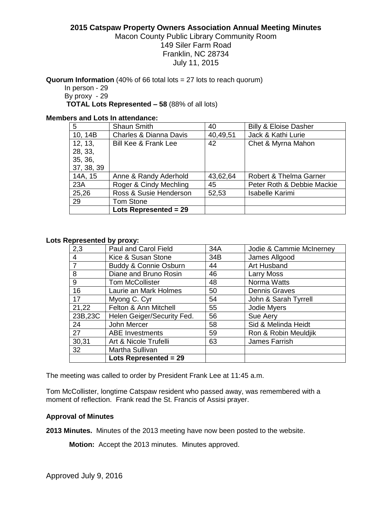## **2015 Catspaw Property Owners Association Annual Meeting Minutes**

# Macon County Public Library Community Room 149 Siler Farm Road Franklin, NC 28734 July 11, 2015

**Quorum Information** (40% of 66 total lots = 27 lots to reach quorum)

In person - 29 By proxy - 29 **TOTAL Lots Represented – 58** (88% of all lots)

### **Members and Lots In attendance:**

| 5          | <b>Shaun Smith</b>                | 40       | <b>Billy &amp; Eloise Dasher</b> |
|------------|-----------------------------------|----------|----------------------------------|
| 10, 14B    | <b>Charles &amp; Dianna Davis</b> | 40,49,51 | Jack & Kathi Lurie               |
| 12, 13,    | <b>Bill Kee &amp; Frank Lee</b>   | 42       | Chet & Myrna Mahon               |
| 28, 33,    |                                   |          |                                  |
| 35, 36,    |                                   |          |                                  |
| 37, 38, 39 |                                   |          |                                  |
| 14A, 15    | Anne & Randy Aderhold             | 43,62,64 | Robert & Thelma Garner           |
| 23A        | Roger & Cindy Mechling            | 45       | Peter Roth & Debbie Mackie       |
| 25,26      | Ross & Susie Henderson            | 52,53    | <b>Isabelle Karimi</b>           |
| 29         | Tom Stone                         |          |                                  |
|            | <b>Lots Represented = 29</b>      |          |                                  |

#### **Lots Represented by proxy:**

|                | Lots Represented = $29$    |     |                          |
|----------------|----------------------------|-----|--------------------------|
| 32             | Martha Sullivan            |     |                          |
| 30,31          | Art & Nicole Trufelli      | 63  | James Farrish            |
| 27             | <b>ABE</b> Investments     | 59  | Ron & Robin Meuldjik     |
| 24             | John Mercer                | 58  | Sid & Melinda Heidt      |
| 23B,23C        | Helen Geiger/Security Fed. | 56  | Sue Aery                 |
| 21,22          | Felton & Ann Mitchell      | 55  | Jodie Myers              |
| 17             | Myong C. Cyr               | 54  | John & Sarah Tyrrell     |
| 16             | Laurie an Mark Holmes      | 50  | Dennis Graves            |
| 9              | <b>Tom McCollister</b>     | 48  | Norma Watts              |
| 8              | Diane and Bruno Rosin      | 46  | Larry Moss               |
| $\overline{7}$ | Buddy & Connie Osburn      | 44  | Art Husband              |
| $\overline{4}$ | Kice & Susan Stone         | 34B | James Allgood            |
| 2,3            | Paul and Carol Field       | 34A | Jodie & Cammie McInerney |

The meeting was called to order by President Frank Lee at 11:45 a.m.

Tom McCollister, longtime Catspaw resident who passed away, was remembered with a moment of reflection. Frank read the St. Francis of Assisi prayer.

### **Approval of Minutes**

**2013 Minutes.** Minutes of the 2013 meeting have now been posted to the website.

**Motion:** Accept the 2013 minutes. Minutes approved.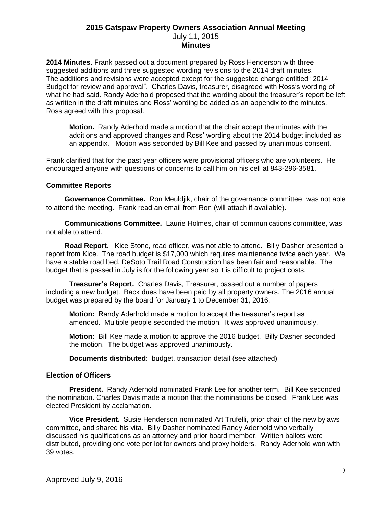# **2015 Catspaw Property Owners Association Annual Meeting** July 11, 2015 **Minutes**

**2014 Minutes**. Frank passed out a document prepared by Ross Henderson with three suggested additions and three suggested wording revisions to the 2014 draft minutes. The additions and revisions were accepted except for the suggested change entitled "2014 Budget for review and approval".Charles Davis, treasurer, disagreed with Ross's wording of what he had said. Randy Aderhold proposed that the wording about the treasurer's report be left as written in the draft minutes and Ross' wording be added as an appendix to the minutes. Ross agreed with this proposal.

**Motion.** Randy Aderhold made a motion that the chair accept the minutes with the additions and approved changes and Ross' wording about the 2014 budget included as an appendix. Motion was seconded by Bill Kee and passed by unanimous consent.

Frank clarified that for the past year officers were provisional officers who are volunteers. He encouraged anyone with questions or concerns to call him on his cell at 843-296-3581.

## **Committee Reports**

**Governance Committee.** Ron Meuldjik, chair of the governance committee, was not able to attend the meeting. Frank read an email from Ron (will attach if available).

**Communications Committee.** Laurie Holmes, chair of communications committee, was not able to attend.

**Road Report.** Kice Stone, road officer, was not able to attend. Billy Dasher presented a report from Kice. The road budget is \$17,000 which requires maintenance twice each year. We have a stable road bed. DeSoto Trail Road Construction has been fair and reasonable. The budget that is passed in July is for the following year so it is difficult to project costs.

**Treasurer's Report.** Charles Davis, Treasurer, passed out a number of papers including a new budget. Back dues have been paid by all property owners. The 2016 annual budget was prepared by the board for January 1 to December 31, 2016.

**Motion:** Randy Aderhold made a motion to accept the treasurer's report as amended. Multiple people seconded the motion. It was approved unanimously.

**Motion:** Bill Kee made a motion to approve the 2016 budget. Billy Dasher seconded the motion. The budget was approved unanimously.

**Documents distributed**: budget, transaction detail (see attached)

## **Election of Officers**

**President.** Randy Aderhold nominated Frank Lee for another term. Bill Kee seconded the nomination. Charles Davis made a motion that the nominations be closed. Frank Lee was elected President by acclamation.

**Vice President.** Susie Henderson nominated Art Trufelli, prior chair of the new bylaws committee, and shared his vita. Billy Dasher nominated Randy Aderhold who verbally discussed his qualifications as an attorney and prior board member. Written ballots were distributed, providing one vote per lot for owners and proxy holders. Randy Aderhold won with 39 votes.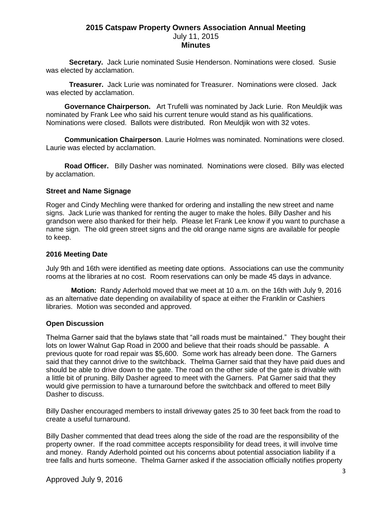## **2015 Catspaw Property Owners Association Annual Meeting** July 11, 2015 **Minutes**

**Secretary.** Jack Lurie nominated Susie Henderson. Nominations were closed. Susie was elected by acclamation.

**Treasurer.** Jack Lurie was nominated for Treasurer. Nominations were closed. Jack was elected by acclamation.

**Governance Chairperson.** Art Trufelli was nominated by Jack Lurie. Ron Meuldjik was nominated by Frank Lee who said his current tenure would stand as his qualifications. Nominations were closed. Ballots were distributed. Ron Meuldjik won with 32 votes.

**Communication Chairperson**. Laurie Holmes was nominated. Nominations were closed. Laurie was elected by acclamation.

**Road Officer.** Billy Dasher was nominated. Nominations were closed. Billy was elected by acclamation.

#### **Street and Name Signage**

Roger and Cindy Mechling were thanked for ordering and installing the new street and name signs. Jack Lurie was thanked for renting the auger to make the holes. Billy Dasher and his grandson were also thanked for their help. Please let Frank Lee know if you want to purchase a name sign. The old green street signs and the old orange name signs are available for people to keep.

#### **2016 Meeting Date**

July 9th and 16th were identified as meeting date options. Associations can use the community rooms at the libraries at no cost. Room reservations can only be made 45 days in advance.

**Motion:** Randy Aderhold moved that we meet at 10 a.m. on the 16th with July 9, 2016 as an alternative date depending on availability of space at either the Franklin or Cashiers libraries. Motion was seconded and approved.

### **Open Discussion**

Thelma Garner said that the bylaws state that "all roads must be maintained." They bought their lots on lower Walnut Gap Road in 2000 and believe that their roads should be passable. A previous quote for road repair was \$5,600. Some work has already been done. The Garners said that they cannot drive to the switchback. Thelma Garner said that they have paid dues and should be able to drive down to the gate. The road on the other side of the gate is drivable with a little bit of pruning. Billy Dasher agreed to meet with the Garners. Pat Garner said that they would give permission to have a turnaround before the switchback and offered to meet Billy Dasher to discuss.

Billy Dasher encouraged members to install driveway gates 25 to 30 feet back from the road to create a useful turnaround.

Billy Dasher commented that dead trees along the side of the road are the responsibility of the property owner. If the road committee accepts responsibility for dead trees, it will involve time and money. Randy Aderhold pointed out his concerns about potential association liability if a tree falls and hurts someone. Thelma Garner asked if the association officially notifies property